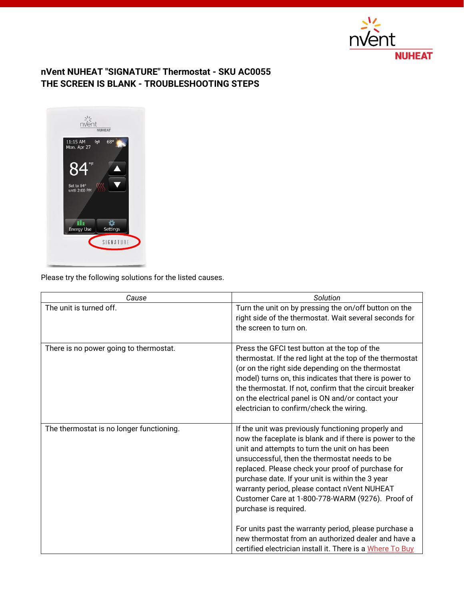

## **nVent NUHEAT "SIGNATURE" Thermostat - SKU AC0055 THE SCREEN IS BLANK - TROUBLESHOOTING STEPS**



Please try the following solutions for the listed causes.

| Cause                                    | Solution                                                                                                                                                                                                                                                                                                                                                                                                                                                                                                                                                                                                                             |
|------------------------------------------|--------------------------------------------------------------------------------------------------------------------------------------------------------------------------------------------------------------------------------------------------------------------------------------------------------------------------------------------------------------------------------------------------------------------------------------------------------------------------------------------------------------------------------------------------------------------------------------------------------------------------------------|
| The unit is turned off.                  | Turn the unit on by pressing the on/off button on the<br>right side of the thermostat. Wait several seconds for<br>the screen to turn on.                                                                                                                                                                                                                                                                                                                                                                                                                                                                                            |
| There is no power going to thermostat.   | Press the GFCI test button at the top of the<br>thermostat. If the red light at the top of the thermostat<br>(or on the right side depending on the thermostat<br>model) turns on, this indicates that there is power to<br>the thermostat. If not, confirm that the circuit breaker<br>on the electrical panel is ON and/or contact your<br>electrician to confirm/check the wiring.                                                                                                                                                                                                                                                |
| The thermostat is no longer functioning. | If the unit was previously functioning properly and<br>now the faceplate is blank and if there is power to the<br>unit and attempts to turn the unit on has been<br>unsuccessful, then the thermostat needs to be<br>replaced. Please check your proof of purchase for<br>purchase date. If your unit is within the 3 year<br>warranty period, please contact nVent NUHEAT<br>Customer Care at 1-800-778-WARM (9276). Proof of<br>purchase is required.<br>For units past the warranty period, please purchase a<br>new thermostat from an authorized dealer and have a<br>certified electrician install it. There is a Where To Buy |